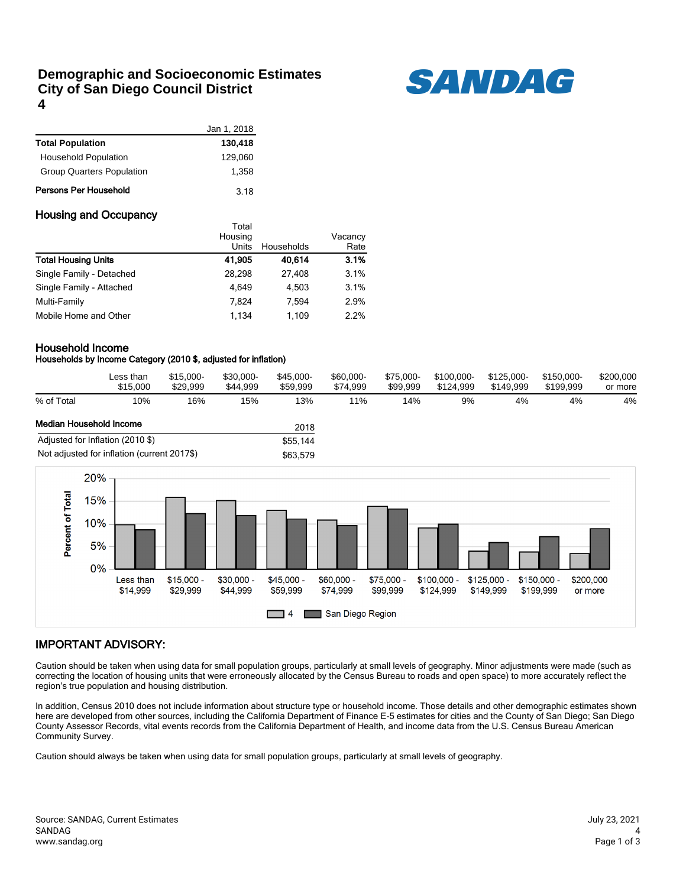## **Demographic and Socioeconomic Estimates City of San Diego Council District 4**



|                                  | Jan 1, 2018 |
|----------------------------------|-------------|
| <b>Total Population</b>          | 130,418     |
| <b>Household Population</b>      | 129,060     |
| <b>Group Quarters Population</b> | 1.358       |
| Persons Per Household            | 3.18        |

### Housing and Occupancy

|                            | тотаг<br>Housing |            | Vacancy |
|----------------------------|------------------|------------|---------|
|                            | Units            | Households | Rate    |
| <b>Total Housing Units</b> | 41,905           | 40,614     | 3.1%    |
| Single Family - Detached   | 28.298           | 27.408     | 3.1%    |
| Single Family - Attached   | 4.649            | 4.503      | 3.1%    |
| Multi-Family               | 7.824            | 7.594      | 2.9%    |
| Mobile Home and Other      | 1.134            | 1.109      | 2.2%    |

Total

#### Household Income

### Households by Income Category (2010 \$, adjusted for inflation)

|                         | Less than<br>\$15,000            | $$15.000-$<br>\$29.999 | \$30.000-<br>\$44.999 | \$45,000-<br>\$59.999 | \$60,000-<br>\$74.999 | \$75.000-<br>\$99.999 | \$100.000-<br>\$124.999 | \$125.000-<br>\$149.999 | \$150.000-<br>\$199.999 | \$200,000<br>or more |
|-------------------------|----------------------------------|------------------------|-----------------------|-----------------------|-----------------------|-----------------------|-------------------------|-------------------------|-------------------------|----------------------|
| % of Total              | 10%                              | 16%                    | 15%                   | 13%                   | 11%                   | 14%                   | 9%                      | 4%                      | 4%                      | 4%                   |
| Median Household Income |                                  |                        |                       | 2018                  |                       |                       |                         |                         |                         |                      |
|                         | Adjusted for Inflation (2010 \$) |                        |                       | \$55,144              |                       |                       |                         |                         |                         |                      |





## IMPORTANT ADVISORY:

Caution should be taken when using data for small population groups, particularly at small levels of geography. Minor adjustments were made (such as correcting the location of housing units that were erroneously allocated by the Census Bureau to roads and open space) to more accurately reflect the region's true population and housing distribution.

In addition, Census 2010 does not include information about structure type or household income. Those details and other demographic estimates shown here are developed from other sources, including the California Department of Finance E-5 estimates for cities and the County of San Diego; San Diego County Assessor Records, vital events records from the California Department of Health, and income data from the U.S. Census Bureau American Community Survey.

Caution should always be taken when using data for small population groups, particularly at small levels of geography.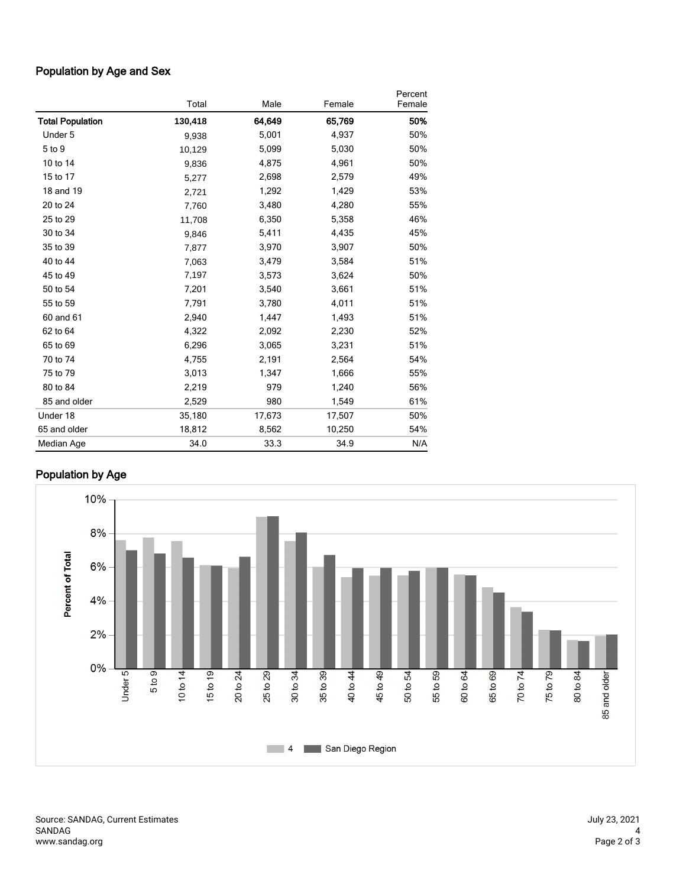# Population by Age and Sex

|                         | Total   | Male   | Female | Percent<br>Female |
|-------------------------|---------|--------|--------|-------------------|
| <b>Total Population</b> | 130,418 | 64,649 | 65,769 | 50%               |
| Under 5                 | 9,938   | 5,001  | 4,937  | 50%               |
| 5 to 9                  | 10,129  | 5,099  | 5,030  | 50%               |
| 10 to 14                | 9,836   | 4,875  | 4,961  | 50%               |
| 15 to 17                | 5,277   | 2,698  | 2,579  | 49%               |
| 18 and 19               | 2,721   | 1,292  | 1,429  | 53%               |
| 20 to 24                | 7,760   | 3,480  | 4,280  | 55%               |
| 25 to 29                | 11,708  | 6,350  | 5,358  | 46%               |
| 30 to 34                | 9,846   | 5,411  | 4,435  | 45%               |
| 35 to 39                | 7,877   | 3,970  | 3,907  | 50%               |
| 40 to 44                | 7,063   | 3,479  | 3,584  | 51%               |
| 45 to 49                | 7,197   | 3,573  | 3,624  | 50%               |
| 50 to 54                | 7,201   | 3,540  | 3,661  | 51%               |
| 55 to 59                | 7,791   | 3,780  | 4,011  | 51%               |
| 60 and 61               | 2,940   | 1,447  | 1,493  | 51%               |
| 62 to 64                | 4,322   | 2,092  | 2,230  | 52%               |
| 65 to 69                | 6,296   | 3,065  | 3,231  | 51%               |
| 70 to 74                | 4,755   | 2,191  | 2,564  | 54%               |
| 75 to 79                | 3,013   | 1,347  | 1,666  | 55%               |
| 80 to 84                | 2,219   | 979    | 1,240  | 56%               |
| 85 and older            | 2,529   | 980    | 1,549  | 61%               |
| Under 18                | 35,180  | 17,673 | 17,507 | 50%               |
| 65 and older            | 18,812  | 8,562  | 10,250 | 54%               |
| Median Age              | 34.0    | 33.3   | 34.9   | N/A               |

# Population by Age